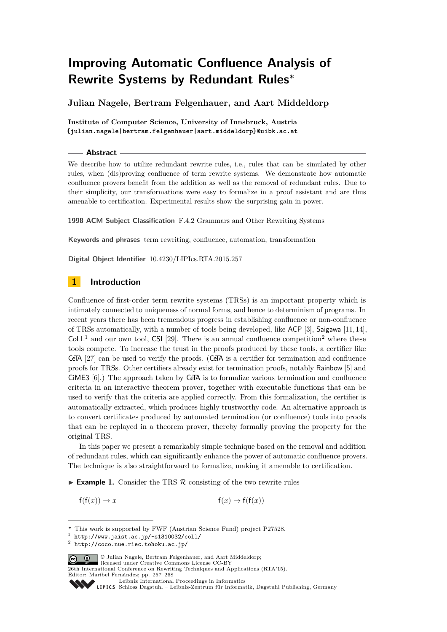# **Improving Automatic Confluence Analysis of Rewrite Systems by Redundant Rules<sup>∗</sup>**

**Julian Nagele, Bertram Felgenhauer, and Aart Middeldorp**

**Institute of Computer Science, University of Innsbruck, Austria {julian.nagele|bertram.felgenhauer|aart.middeldorp}@uibk.ac.at**

#### **Abstract**

We describe how to utilize redundant rewrite rules, i.e., rules that can be simulated by other rules, when (dis)proving confluence of term rewrite systems. We demonstrate how automatic confluence provers benefit from the addition as well as the removal of redundant rules. Due to their simplicity, our transformations were easy to formalize in a proof assistant and are thus amenable to certification. Experimental results show the surprising gain in power.

**1998 ACM Subject Classification** F.4.2 Grammars and Other Rewriting Systems

**Keywords and phrases** term rewriting, confluence, automation, transformation

**Digital Object Identifier** [10.4230/LIPIcs.RTA.2015.257](http://dx.doi.org/10.4230/LIPIcs.RTA.2015.257)

# **1 Introduction**

Confluence of first-order term rewrite systems (TRSs) is an important property which is intimately connected to uniqueness of normal forms, and hence to determinism of programs. In recent years there has been tremendous progress in establishing confluence or non-confluence of TRSs automatically, with a number of tools being developed, like ACP [\[3\]](#page-9-0), Saigawa [\[11,](#page-10-0) [14\]](#page-10-1),  $\text{ColL}^1$  $\text{ColL}^1$  and our own tool, CSI [\[29\]](#page-11-0). There is an annual confluence competition<sup>[2](#page-0-1)</sup> where these tools compete. To increase the trust in the proofs produced by these tools, a certifier like CeTA [\[27\]](#page-10-2) can be used to verify the proofs. (CeTA is a certifier for termination and confluence proofs for TRSs. Other certifiers already exist for termination proofs, notably Rainbow [\[5\]](#page-9-1) and CiME3 [\[6\]](#page-9-2).) The approach taken by CeTA is to formalize various termination and confluence criteria in an interactive theorem prover, together with executable functions that can be used to verify that the criteria are applied correctly. From this formalization, the certifier is automatically extracted, which produces highly trustworthy code. An alternative approach is to convert certificates produced by automated termination (or confluence) tools into proofs that can be replayed in a theorem prover, thereby formally proving the property for the original TRS.

In this paper we present a remarkably simple technique based on the removal and addition of redundant rules, which can significantly enhance the power of automatic confluence provers. The technique is also straightforward to formalize, making it amenable to certification.

<span id="page-0-2"></span>**Example 1.** Consider the TRS  $\mathcal{R}$  consisting of the two rewrite rules

 $f(f(x)) \to x$   $f(f(x))$ 

© Julian Nagele, Bertram Felgenhauer, and Aart Middeldorp; licensed under Creative Commons License CC-BY

26th International Conference on Rewriting Techniques and Applications (RTA'15). Editor: Maribel Fernández; pp. 257[–268](#page-11-1)

[Schloss Dagstuhl – Leibniz-Zentrum für Informatik, Dagstuhl Publishing, Germany](http://www.dagstuhl.de)

**<sup>∗</sup>** This work is supported by FWF (Austrian Science Fund) project P27528.

<span id="page-0-0"></span> $<sup>1</sup>$  <http://www.jaist.ac.jp/~s1310032/coll/></sup>

<span id="page-0-1"></span> $^2$  <http://coco.nue.riec.tohoku.ac.jp/>

[Leibniz International Proceedings in Informatics](http://www.dagstuhl.de/lipics/)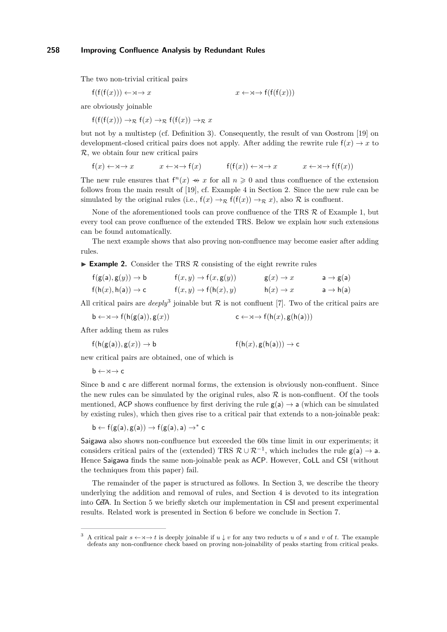The two non-trivial critical pairs

$$
f(f(f(x))) \leftarrow \mathsf{x} \rightarrow x \qquad x \leftarrow \mathsf{x} \rightarrow f(f(f(x)))
$$

are obviously joinable

 $f(f(f(x))) \rightarrow_{\mathcal{R}} f(x) \rightarrow_{\mathcal{R}} f(f(x)) \rightarrow_{\mathcal{R}} x$ 

but not by a multistep (cf. Definition [3\)](#page-2-0). Consequently, the result of van Oostrom [\[19\]](#page-10-3) on development-closed critical pairs does not apply. After adding the rewrite rule  $f(x) \rightarrow x$  to R, we obtain four new critical pairs

$$
f(x) \leftarrow \forall x \rightarrow x \qquad x \leftarrow \forall x \rightarrow f(x) \qquad f(f(x)) \leftarrow \forall x \rightarrow x \qquad x \leftarrow \forall x \rightarrow f(f(x))
$$

The new rule ensures that  $f^{n}(x) \leftrightarrow x$  for all  $n \geq 0$  and thus confluence of the extension follows from the main result of [\[19\]](#page-10-3), cf. Example [4](#page-2-1) in Section [2.](#page-2-2) Since the new rule can be simulated by the original rules (i.e.,  $f(x) \rightarrow_R f(f(x)) \rightarrow_R x$ ), also R is confluent.

None of the aforementioned tools can prove confluence of the TRS  $\mathcal{R}$  of Example [1,](#page-0-2) but every tool can prove confluence of the extended TRS. Below we explain how such extensions can be found automatically.

The next example shows that also proving non-confluence may become easier after adding rules.

**Example 2.** Consider the TRS  $\mathcal{R}$  consisting of the eight rewrite rules

| $f(g(a), g(y)) \rightarrow b$ | $f(x,y) \rightarrow f(x,g(y))$ | $g(x) \rightarrow x$ | $a \rightarrow g(a)$ |
|-------------------------------|--------------------------------|----------------------|----------------------|
| $f(h(x), h(a)) \rightarrow c$ | $f(x,y) \rightarrow f(h(x),y)$ | $h(x) \rightarrow x$ | $a \rightarrow h(a)$ |

All critical pairs are *deeply*<sup>[3](#page-1-0)</sup> joinable but  $R$  is not confluent [\[7\]](#page-9-3). Two of the critical pairs are

 $\mathsf{b} \leftarrow \mathsf{b} \rightarrow \mathsf{f}(\mathsf{h}(\mathsf{g}(\mathsf{a})), \mathsf{g}(x))$  c  $\leftarrow \mathsf{b} \rightarrow \mathsf{f}(\mathsf{h}(x), \mathsf{g}(\mathsf{h}(\mathsf{a})))$ 

After adding them as rules

$$
f(h(g(a)), g(x)) \to b
$$
  $f(h(x), g(h(a))) \to c$ 

new critical pairs are obtained, one of which is

 $b \leftarrow \forall \rightarrow c$ 

Since b and c are different normal forms, the extension is obviously non-confluent. Since the new rules can be simulated by the original rules, also  $\mathcal R$  is non-confluent. Of the tools mentioned, ACP shows confluence by first deriving the rule  $g(a) \rightarrow a$  (which can be simulated by existing rules), which then gives rise to a critical pair that extends to a non-joinable peak:

$$
b \leftarrow f(g(a), g(a)) \rightarrow f(g(a), a) \rightarrow^* c
$$

Saigawa also shows non-confluence but exceeded the 60s time limit in our experiments; it considers critical pairs of the (extended) TRS  $\mathcal{R} \cup \mathcal{R}^{-1}$ , which includes the rule  $g(a) \rightarrow a$ . Hence Saigawa finds the same non-joinable peak as ACP. However, CoLL and CSI (without the techniques from this paper) fail.

The remainder of the paper is structured as follows. In Section [3,](#page-2-3) we describe the theory underlying the addition and removal of rules, and Section [4](#page-5-0) is devoted to its integration into CeTA. In Section [5](#page-6-0) we briefly sketch our implementation in CSI and present experimental results. Related work is presented in Section [6](#page-8-0) before we conclude in Section [7.](#page-8-1)

<span id="page-1-0"></span>A critical pair  $s \leftarrow \neg \rightarrow t$  is deeply joinable if  $u \downarrow v$  for any two reducts *u* of *s* and *v* of *t*. The example defeats any non-confluence check based on proving non-joinability of peaks starting from critical peaks.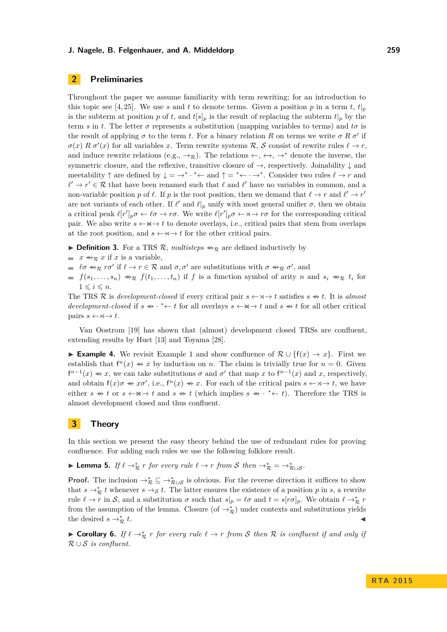# <span id="page-2-2"></span>**2 Preliminaries**

Throughout the paper we assume familiarity with term rewriting; for an introduction to this topic see [\[4,](#page-9-4) [25\]](#page-10-4). We use *s* and *t* to denote terms. Given a position *p* in a term *t*,  $t|_p$ is the subterm at position *p* of *t*, and  $t[s]_p$  is the result of replacing the subterm  $t|_p$  by the term *s* in *t*. The letter  $\sigma$  represents a substitution (mapping variables to terms) and  $t\sigma$  is the result of applying  $\sigma$  to the term *t*. For a binary relation *R* on terms we write  $\sigma R \sigma'$  if  $\sigma(x) \; R \; \sigma'(x)$  for all variables *x*. Term rewrite systems R, S consist of rewrite rules  $\ell \to r$ , and induce rewrite relations (e.g.,  $\rightarrow_R$ ). The relations  $\leftarrow$ ,  $\leftrightarrow$ ,  $\rightarrow^*$  denote the inverse, the symmetric closure, and the reflexive, transitive closure of  $\rightarrow$ , respectively. Joinability  $\downarrow$  and meetability  $\uparrow$  are defined by  $\downarrow = \rightarrow^* \cdot^* \leftarrow$  and  $\uparrow =^* \leftarrow \cdot \rightarrow^*$ . Consider two rules  $\ell \rightarrow r$  and  $\ell' \to r' \in \mathcal{R}$  that have been renamed such that  $\ell$  and  $\ell'$  have no variables in common, and a non-variable position *p* of  $\ell$ . If *p* is the root position, then we demand that  $\ell \to r$  and  $\ell' \to r'$ are not variants of each other. If  $\ell'$  and  $\ell|_p$  unify with most general unifier  $\sigma$ , then we obtain a critical peak  $\ell[r']_p \sigma \leftarrow \ell \sigma \rightarrow r \sigma$ . We write  $\ell[r']_p \sigma \leftarrow \sigma \rightarrow r \sigma$  for the corresponding critical pair. We also write  $s \leftarrow \mathsf{M} \rightarrow t$  to denote overlays, i.e., critical pairs that stem from overlaps at the root position, and  $s \leftarrow \forall x \rightarrow t$  for the other critical pairs.

- <span id="page-2-0"></span>**Definition 3.** For a TRS  $\mathcal{R}$ , *multisteps*  $\leftrightarrow_{\mathcal{R}}$  are defined inductively by
- $\blacksquare$  *x*  $\rightarrow \mathcal{R}$  *x* if *x* is a variable,
- $\ell \sigma \to_{\mathcal{R}} r \sigma'$  if  $\ell \to r \in \mathcal{R}$  and  $\sigma, \sigma'$  are substitutions with  $\sigma \to_{\mathcal{R}} \sigma'$ , and
- $f(s_1, \ldots, s_n) \Leftrightarrow_R f(t_1, \ldots, t_n)$  if *f* is a function symbol of arity *n* and  $s_i \Leftrightarrow_R t_i$  for  $1 \leqslant i \leqslant n$ .

The TRS R is *development-closed* if every critical pair  $s \leftarrow \forall \rightarrow t$  satisfies  $s \rightarrow t$ . It is *almost development-closed* if  $s \leftrightarrow * \leftarrow t$  for all overlays  $s \leftarrow \forall x \rightarrow t$  and  $s \leftrightarrow t$  for all other critical pairs  $s \leftarrow \forall \negthinspace \rightarrow t$ .

Van Oostrom [\[19\]](#page-10-3) has shown that (almost) development closed TRSs are confluent, extending results by Huet [\[13\]](#page-10-5) and Toyama [\[28\]](#page-11-2).

<span id="page-2-1"></span>**Example 4.** We revisit Example [1](#page-0-2) and show confluence of  $\mathcal{R} \cup \{f(x) \to x\}$ . First we establish that  $f^{n}(x) \rightarrow x$  by induction on *n*. The claim is trivially true for  $n = 0$ . Given  $f^{n-1}(x) \rightarrow x$ , we can take substitutions  $\sigma$  and  $\sigma'$  that map  $x$  to  $f^{n-1}(x)$  and  $x$ , respectively, and obtain  $f(x)\sigma \rightarrow x\sigma'$ , i.e.,  $f^{n}(x) \rightarrow x$ . For each of the critical pairs  $s \leftarrow \forall x \rightarrow t$ , we have either  $s \leftrightarrow t$  or  $s \leftarrow \forall s \rightarrow t$  and  $s \leftrightarrow t$  (which implies  $s \leftrightarrow t \leftrightarrow t$ ). Therefore the TRS is almost development closed and thus confluent.

# <span id="page-2-3"></span>**3 Theory**

In this section we present the easy theory behind the use of redundant rules for proving confluence. For adding such rules we use the following folklore result.

<span id="page-2-5"></span>**► Lemma 5.** *If*  $\ell \to_{\mathcal{R}}^*$  *r for every rule*  $\ell \to r$  *from* S *then*  $\to_{\mathcal{R}}^* = \to_{\mathcal{R}\cup\mathcal{S}}^*$ .

**Proof.** The inclusion  $\rightarrow_{\mathcal{R}}^* \subseteq \rightarrow_{\mathcal{R}\cup\mathcal{S}}^*$  is obvious. For the reverse direction it suffices to show that  $s \to_{\mathcal{R}}^* t$  whenever  $s \to_{\mathcal{S}} t$ . The latter ensures the existence of a position p in s, a rewrite rule  $\ell \to r$  in S, and a substitution  $\sigma$  such that  $s|_p = \ell \sigma$  and  $t = s[r\sigma]_p$ . We obtain  $\ell \to \pi^*$  r from the assumption of the lemma. Closure (of  $\rightarrow_{\mathcal{R}}^*$ ) under contexts and substitutions yields the desired  $s \rightarrow_{\mathcal{R}}^* t$ .  $\stackrel{*}{\mathcal{R}}t$ .

<span id="page-2-4"></span>▶ Corollary 6. If  $\ell \to \pi$  *r* for every rule  $\ell \to r$  from S then R is confluent if and only if R ∪ S *is confluent.*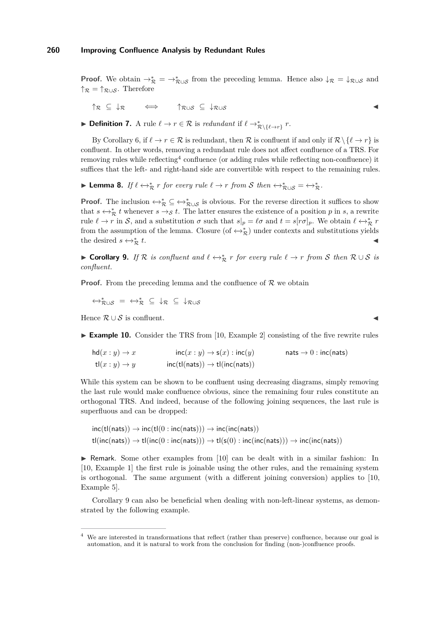**Proof.** We obtain  $\rightarrow_{\mathcal{R}}^* = \rightarrow_{\mathcal{R}\cup\mathcal{S}}^*$  from the preceding lemma. Hence also  $\downarrow_{\mathcal{R}} = \downarrow_{\mathcal{R}\cup\mathcal{S}}$  and  $\uparrow_{\mathcal{R}} = \uparrow_{\mathcal{R}\cup\mathcal{S}}$ . Therefore

 $\uparrow_{\mathcal{R}}$   $\subseteq$   $\downarrow_{\mathcal{R}}$   $\iff$   $\uparrow_{\mathcal{R}\cup\mathcal{S}}$   $\subseteq$   $\downarrow_{\mathcal{R}\cup\mathcal{S}}$ 

**► Definition 7.** A rule  $\ell \to r \in \mathcal{R}$  is *redundant* if  $\ell \to^*_{\mathcal{R}\setminus\{\ell\to r\}} r$ .

By Corollary [6,](#page-2-4) if  $\ell \to r \in \mathcal{R}$  is redundant, then  $\mathcal{R}$  is confluent if and only if  $\mathcal{R} \setminus {\ell \to r}$  is confluent. In other words, removing a redundant rule does not affect confluence of a TRS. For removing rules while reflecting<sup>[4](#page-3-0)</sup> confluence (or adding rules while reflecting non-confluence) it suffices that the left- and right-hand side are convertible with respect to the remaining rules.

**► Lemma 8.** *If*  $\ell \leftrightarrow_{\mathcal{R}}^* r$  *for every rule*  $\ell \rightarrow r$  *from S then*  $\leftrightarrow_{\mathcal{R}\cup\mathcal{S}}^* = \leftrightarrow_{\mathcal{R}}^*$ *.* 

**Proof.** The inclusion  $\leftrightarrow_{\mathcal{R}}^* \subseteq \leftrightarrow_{\mathcal{R}\cup\mathcal{S}}^*$  is obvious. For the reverse direction it suffices to show that  $s \leftrightarrow_{\mathcal{R}}^* t$  whenever  $s \rightarrow_{\mathcal{S}} t$ . The latter ensures the existence of a position p in s, a rewrite rule  $\ell \to r$  in S, and a substitution  $\sigma$  such that  $s|_p = \ell \sigma$  and  $t = s[r\sigma]_p$ . We obtain  $\ell \leftrightarrow_{\mathcal{R}}^* r$ from the assumption of the lemma. Closure  $(\text{of } \leftrightarrow_{\mathcal{R}}^*)$  under contexts and substitutions yields the desired  $s \leftrightarrow_{\mathcal{R}}^* t$ .  $\stackrel{*}{\mathcal{R}}t$ .

<span id="page-3-1"></span>► **Corollary 9.** *If*  $\mathcal{R}$  *is confluent and*  $\ell \leftrightarrow_{\mathcal{R}}^* r$  *for every rule*  $\ell \rightarrow r$  *from* S *then*  $\mathcal{R} \cup S$  *is confluent.*

**Proof.** From the preceding lemma and the confluence of  $\mathcal{R}$  we obtain

 $\leftrightarrow_{\mathcal{R}\cup\mathcal{S}}^* = \leftrightarrow_{\mathcal{R}}^* \subseteq \downarrow_{\mathcal{R}} \subseteq \downarrow_{\mathcal{R}\cup\mathcal{S}}$ 

Hence  $\mathcal{R} \cup \mathcal{S}$  is confluent.

<span id="page-3-2"></span>► **Example 10.** Consider the TRS from [\[10,](#page-9-5) Example 2] consisting of the five rewrite rules

$$
hd(x:y) \to x
$$
  
\n
$$
td(x:y) \to x
$$
  
\n
$$
td(x:y) \to y
$$
  
\n
$$
inc(tl(nats)) \to tl(inc(nats))
$$
  
\n
$$
radts \to 0 : inc(nats)
$$

While this system can be shown to be confluent using decreasing diagrams, simply removing the last rule would make confluence obvious, since the remaining four rules constitute an orthogonal TRS. And indeed, because of the following joining sequences, the last rule is superfluous and can be dropped:

$$
\text{inc}(\text{tl(nats)}) \rightarrow \text{inc}(\text{tl}(0: \text{inc(nats)})) \rightarrow \text{inc}(\text{inc(nats)})
$$
\n
$$
\text{tl}(\text{inc(nats)}) \rightarrow \text{tl}(\text{inc}(0: \text{inc(nats)})) \rightarrow \text{tl}(s(0): \text{inc}(\text{inc(nats)})) \rightarrow \text{inc}(\text{inc(nats)}))
$$

 $\triangleright$  Remark. Some other examples from [\[10\]](#page-9-5) can be dealt with in a similar fashion: In [\[10,](#page-9-5) Example 1] the first rule is joinable using the other rules, and the remaining system is orthogonal. The same argument (with a different joining conversion) applies to [\[10,](#page-9-5) Example 5].

Corollary [9](#page-3-1) can also be beneficial when dealing with non-left-linear systems, as demonstrated by the following example.

<span id="page-3-0"></span><sup>4</sup> We are interested in transformations that reflect (rather than preserve) confluence, because our goal is automation, and it is natural to work from the conclusion for finding (non-)confluence proofs.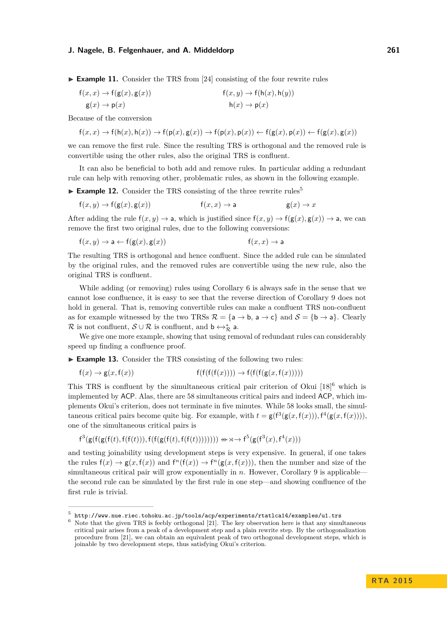► **Example 11.** Consider the TRS from [\[24\]](#page-10-6) consisting of the four rewrite rules

$$
f(x, x) \to f(g(x), g(x))
$$
  
\n
$$
g(x) \to p(x)
$$
  
\n
$$
f(x, y) \to f(h(x), h(y))
$$
  
\n
$$
h(x) \to p(x)
$$

Because of the conversion

$$
f(x,x) \to f(h(x),h(x)) \to f(p(x),g(x)) \to f(p(x),p(x)) \leftarrow f(g(x),p(x)) \leftarrow f(g(x),g(x))
$$

we can remove the first rule. Since the resulting TRS is orthogonal and the removed rule is convertible using the other rules, also the original TRS is confluent.

It can also be beneficial to both add and remove rules. In particular adding a redundant rule can help with removing other, problematic rules, as shown in the following example.

 $\blacktriangleright$  **Example 12.** Consider the TRS consisting of the three rewrite rules<sup>[5](#page-4-0)</sup>

$$
f(x, y) \to f(g(x), g(x))
$$
  $f(x, x) \to a$   $g(x) \to x$ 

After adding the rule  $f(x, y) \rightarrow a$ , which is justified since  $f(x, y) \rightarrow f(g(x), g(x)) \rightarrow a$ , we can remove the first two original rules, due to the following conversions:

$$
f(x, y) \to a \leftarrow f(g(x), g(x)) \qquad f(x, x) \to a
$$

The resulting TRS is orthogonal and hence confluent. Since the added rule can be simulated by the original rules, and the removed rules are convertible using the new rule, also the original TRS is confluent.

While adding (or removing) rules using Corollary [6](#page-2-4) is always safe in the sense that we cannot lose confluence, it is easy to see that the reverse direction of Corollary [9](#page-3-1) does not hold in general. That is, removing convertible rules can make a confluent TRS non-confluent as for example witnessed by the two TRSs  $\mathcal{R} = \{a \rightarrow b, a \rightarrow c\}$  and  $\mathcal{S} = \{b \rightarrow a\}$ . Clearly R is not confluent,  $S \cup R$  is confluent, and  $\mathsf{b} \leftrightarrow_R^* \mathsf{a}$ .

We give one more example, showing that using removal of redundant rules can considerably speed up finding a confluence proof.

► Example 13. Consider the TRS consisting of the following two rules:

$$
f(x) \to g(x, f(x)) \qquad f(f(f(f(x)))) \to f(f(f(g(x, f(x))))
$$

This TRS is confluent by the simultaneous critical pair criterion of Okui  $[18]^{6}$  $[18]^{6}$  $[18]^{6}$  $[18]^{6}$  which is implemented by ACP. Alas, there are 58 simultaneous critical pairs and indeed ACP, which implements Okui's criterion, does not terminate in five minutes. While 58 looks small, the simultaneous critical pairs become quite big. For example, with  $t = g(f^3(g(x, f(x))), f^4(g(x, f(x))))$ , one of the simultaneous critical pairs is

$$
\mathsf{f}^{3}(\mathsf{g}(\mathsf{f}(\mathsf{g}(\mathsf{f}(t),\mathsf{f}(\mathsf{f}(t))),\mathsf{f}(\mathsf{f}(\mathsf{g}(\mathsf{f}(t),\mathsf{f}(\mathsf{f}(t)))))))\Leftrightarrow \mathsf{x} \rightarrow \mathsf{f}^{5}(\mathsf{g}(\mathsf{f}^{3}(x),\mathsf{f}^{4}(x)))
$$

and testing joinability using development steps is very expensive. In general, if one takes the rules  $f(x) \to g(x, f(x))$  and  $f^{n}(f(x)) \to f^{n}(g(x, f(x)))$ , then the number and size of the simultaneous critical pair will grow exponentially in *n*. However, Corollary [9](#page-3-1) is applicable the second rule can be simulated by the first rule in one step—and showing confluence of the first rule is trivial.

<span id="page-4-0"></span> $^5$  <http://www.nue.riec.tohoku.ac.jp/tools/acp/experiments/rtatlca14/examples/u1.trs>

<span id="page-4-1"></span><sup>6</sup> Note that the given TRS is feebly orthogonal [\[21\]](#page-10-8). The key observation here is that any simultaneous critical pair arises from a peak of a development step and a plain rewrite step. By the orthogonalization procedure from [\[21\]](#page-10-8), we can obtain an equivalent peak of two orthogonal development steps, which is joinable by two development steps, thus satisfying Okui's criterion.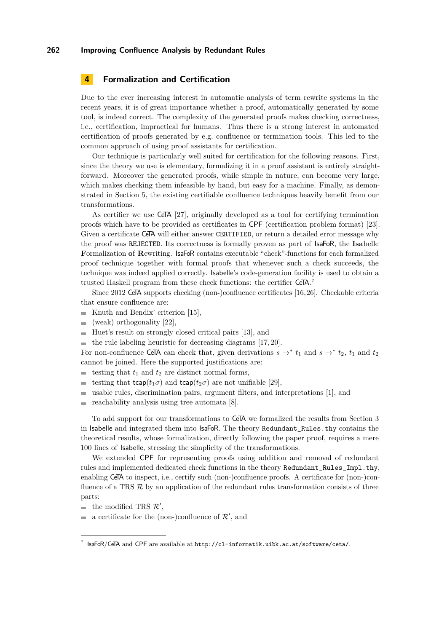# <span id="page-5-0"></span>**4 Formalization and Certification**

Due to the ever increasing interest in automatic analysis of term rewrite systems in the recent years, it is of great importance whether a proof, automatically generated by some tool, is indeed correct. The complexity of the generated proofs makes checking correctness, i.e., certification, impractical for humans. Thus there is a strong interest in automated certification of proofs generated by e.g. confluence or termination tools. This led to the common approach of using proof assistants for certification.

Our technique is particularly well suited for certification for the following reasons. First, since the theory we use is elementary, formalizing it in a proof assistant is entirely straightforward. Moreover the generated proofs, while simple in nature, can become very large, which makes checking them infeasible by hand, but easy for a machine. Finally, as demonstrated in Section [5,](#page-6-0) the existing certifiable confluence techniques heavily benefit from our transformations.

As certifier we use CeTA [\[27\]](#page-10-2), originally developed as a tool for certifying termination proofs which have to be provided as certificates in CPF (certification problem format) [\[23\]](#page-10-9). Given a certificate CeTA will either answer CERTIFIED, or return a detailed error message why the proof was REJECTED. Its correctness is formally proven as part of IsaFoR, the **Isa**belle **F**ormalization **o**f **R**ewriting. IsaFoR contains executable "check"-functions for each formalized proof technique together with formal proofs that whenever such a check succeeds, the technique was indeed applied correctly. Isabelle's code-generation facility is used to obtain a trusted Haskell program from these check functions: the certifier  $CeTA$ .<sup>[7](#page-5-1)</sup>

Since 2012 CeTA supports checking (non-)confluence certificates [\[16,](#page-10-10)[26\]](#page-10-11). Checkable criteria that ensure confluence are:

- Knuth and Bendix' criterion  $[15]$ ,
- $\equiv$ (weak) orthogonality [\[22\]](#page-10-13),
- Huet's result on strongly closed critical pairs [\[13\]](#page-10-5), and
- $\blacksquare$  the rule labeling heuristic for decreasing diagrams [\[17,](#page-10-14) [20\]](#page-10-15).

For non-confluence CeTA can check that, given derivations  $s \rightarrow^* t_1$  and  $s \rightarrow^* t_2$ ,  $t_1$  and  $t_2$ cannot be joined. Here the supported justifications are:

- testing that  $t_1$  and  $t_2$  are distinct normal forms, m.
- testing that  $\mathsf{tcap}(t_1\sigma)$  and  $\mathsf{tcap}(t_2\sigma)$  are not unifiable [\[29\]](#page-11-0),
- usable rules, discrimination pairs, argument filters, and interpretations [\[1\]](#page-9-6), and  $\overline{\phantom{a}}$
- $\equiv$ reachability analysis using tree automata [\[8\]](#page-9-7).

To add support for our transformations to CeTA we formalized the results from Section [3](#page-2-3) in Isabelle and integrated them into IsaFoR. The theory Redundant\_Rules.thy contains the theoretical results, whose formalization, directly following the paper proof, requires a mere 100 lines of Isabelle, stressing the simplicity of the transformations.

We extended CPF for representing proofs using addition and removal of redundant rules and implemented dedicated check functions in the theory Redundant\_Rules\_Impl.thy, enabling CeTA to inspect, i.e., certify such (non-)confluence proofs. A certificate for (non-)confluence of a TRS  $\mathcal R$  by an application of the redundant rules transformation consists of three parts:

the modified TRS  $\mathcal{R}'$ ,

a certificate for the (non-)confluence of  $\mathcal{R}'$ , and

<span id="page-5-1"></span> $^7$  IsaFoR/CeTA and CPF are available at <http://cl-informatik.uibk.ac.at/software/ceta/>.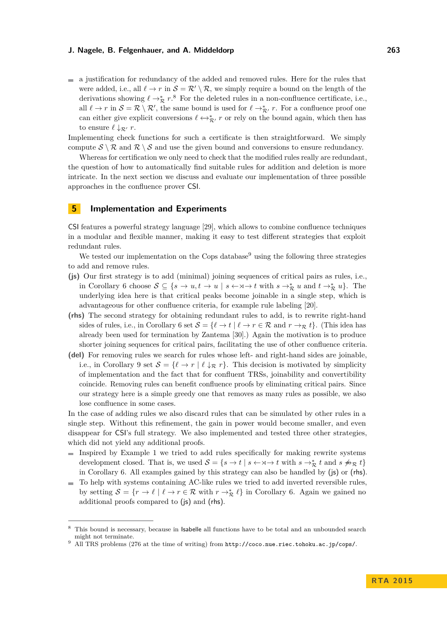$\blacksquare$  a justification for redundancy of the added and removed rules. Here for the rules that were added, i.e., all  $\ell \to r$  in  $\mathcal{S} = \mathcal{R}' \setminus \mathcal{R}$ , we simply require a bound on the length of the derivations showing  $\ell \to_{\mathcal{R}}^* r$ .<sup>[8](#page-6-1)</sup> For the deleted rules in a non-confluence certificate, i.e., all  $\ell \to r$  in  $\mathcal{S} = \mathcal{R} \setminus \mathcal{R}'$ , the same bound is used for  $\ell \to_{\mathcal{R}'}^* r$ . For a confluence proof one can either give explicit conversions  $\ell \leftrightarrow_{\mathcal{R}'}^* r$  or rely on the bound again, which then has to ensure  $\ell \downarrow_{\mathcal{R}'} r$ .

Implementing check functions for such a certificate is then straightforward. We simply compute  $S \setminus \mathcal{R}$  and  $\mathcal{R} \setminus S$  and use the given bound and conversions to ensure redundancy.

Whereas for certification we only need to check that the modified rules really are redundant, the question of how to automatically find suitable rules for addition and deletion is more intricate. In the next section we discuss and evaluate our implementation of three possible approaches in the confluence prover CSI.

## <span id="page-6-0"></span>**5 Implementation and Experiments**

CSI features a powerful strategy language [\[29\]](#page-11-0), which allows to combine confluence techniques in a modular and flexible manner, making it easy to test different strategies that exploit redundant rules.

We tested our implementation on the Cops database<sup>[9](#page-6-2)</sup> using the following three strategies to add and remove rules.

- **(js)** Our first strategy is to add (minimal) joining sequences of critical pairs as rules, i.e., in Corollary [6](#page-2-4) choose  $S \subseteq \{s \to u, t \to u \mid s \leftarrow \mathsf{x} \to t \text{ with } s \to_{\mathcal{R}}^* u \text{ and } t \to_{\mathcal{R}}^* u\}.$  The underlying idea here is that critical peaks become joinable in a single step, which is advantageous for other confluence criteria, for example rule labeling [\[20\]](#page-10-15).
- **(rhs)** The second strategy for obtaining redundant rules to add, is to rewrite right-hand sides of rules, i.e., in Corollary [6](#page-2-4) set  $S = \{ \ell \to t \mid \ell \to r \in \mathcal{R} \text{ and } r \to \tau \}$ . (This idea has already been used for termination by Zantema [\[30\]](#page-11-3).) Again the motivation is to produce shorter joining sequences for critical pairs, facilitating the use of other confluence criteria.
- **(del)** For removing rules we search for rules whose left- and right-hand sides are joinable, i.e., in Corollary [9](#page-3-1) set  $S = \{ \ell \to r \mid \ell \downarrow_R r \}.$  This decision is motivated by simplicity of implementation and the fact that for confluent TRSs, joinability and convertibility coincide. Removing rules can benefit confluence proofs by eliminating critical pairs. Since our strategy here is a simple greedy one that removes as many rules as possible, we also lose confluence in some cases.

In the case of adding rules we also discard rules that can be simulated by other rules in a single step. Without this refinement, the gain in power would become smaller, and even disappear for CSI's full strategy. We also implemented and tested three other strategies, which did not yield any additional proofs.

- Inspired by Example [1](#page-0-2) we tried to add rules specifically for making rewrite systems  $\blacksquare$ development closed. That is, we used  $S = \{s \to t \mid s \leftarrow \times \to t \text{ with } s \to^*_{\mathcal{R}} t \text{ and } s \not\Rightarrow_{\mathcal{R}} t\}$ in Corollary [6.](#page-2-4) All examples gained by this strategy can also be handled by (js) or (rhs).
- To help with systems containing AC-like rules we tried to add inverted reversible rules,  $\rightarrow$ by setting  $S = \{r \to \ell \mid \ell \to r \in \mathcal{R} \text{ with } r \to^*_{\mathcal{R}} \ell \}$  in Corollary [6.](#page-2-4) Again we gained no additional proofs compared to (js) and (rhs).

<span id="page-6-1"></span>This bound is necessary, because in Isabelle all functions have to be total and an unbounded search might not terminate.

<span id="page-6-2"></span><sup>9</sup> All TRS problems (276 at the time of writing) from <http://coco.nue.riec.tohoku.ac.jp/cops/>.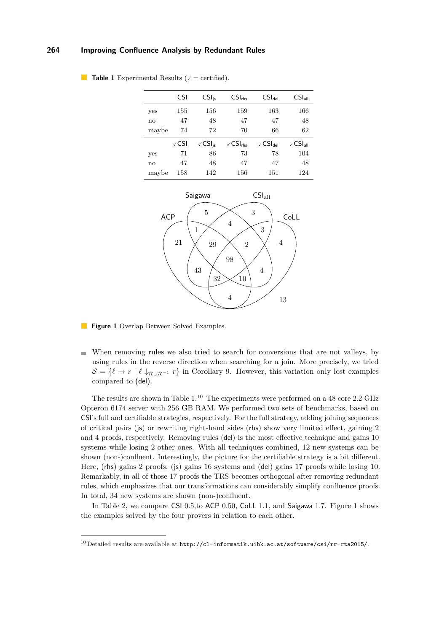|       | CSI  | $CSI_{is}$        | $CSI_{\rm rhs}$                  | $CSI_{del}$                          | $CSI_{all}$         |
|-------|------|-------------------|----------------------------------|--------------------------------------|---------------------|
| yes   | 155  | 156               | 159                              | 163                                  | 166                 |
| no    | 47   | 48                | 47                               | 47                                   | 48                  |
| maybe | 74   | 72                | 70                               | 66                                   | 62                  |
|       | √CSI | $\sqrt{CS}I_{is}$ | $\sqrt{\text{CSI}_{\text{rhs}}}$ | $\sqrt{\mathsf{CSI}}_{\mathsf{del}}$ | √CSI <sub>all</sub> |
| yes   | 71   | 86                | 73                               | 78                                   | 104                 |
| no    | 47   | 48                | 47                               | 47                                   | 48                  |
| maybe | 158  | 142               | 156                              | 151                                  | 124                 |

<span id="page-7-0"></span>

<span id="page-7-2"></span>

- **Figure 1** Overlap Between Solved Examples.
- When removing rules we also tried to search for conversions that are not valleys, by using rules in the reverse direction when searching for a join. More precisely, we tried  $S = \{ \ell \to r \mid \ell \downarrow_{\mathcal{R} \cup \mathcal{R}^{-1}} r \}$  in Corollary [9.](#page-3-1) However, this variation only lost examples compared to (del).

The results are shown in Table  $1<sup>10</sup>$  $1<sup>10</sup>$  $1<sup>10</sup>$  The experiments were performed on a 48 core 2.2 GHz Opteron 6174 server with 256 GB RAM. We performed two sets of benchmarks, based on CSI's full and certifiable strategies, respectively. For the full strategy, adding joining sequences of critical pairs (js) or rewriting right-hand sides (rhs) show very limited effect, gaining 2 and 4 proofs, respectively. Removing rules (del) is the most effective technique and gains 10 systems while losing 2 other ones. With all techniques combined, 12 new systems can be shown (non-)confluent. Interestingly, the picture for the certifiable strategy is a bit different. Here, (rhs) gains 2 proofs, (js) gains 16 systems and (del) gains 17 proofs while losing 10. Remarkably, in all of those 17 proofs the TRS becomes orthogonal after removing redundant rules, which emphasizes that our transformations can considerably simplify confluence proofs. In total, 34 new systems are shown (non-)confluent.

In Table [2,](#page-8-2) we compare CSI 0.5,to ACP 0.50, CoLL 1.1, and Saigawa 1.7. Figure [1](#page-7-2) shows the examples solved by the four provers in relation to each other.

<span id="page-7-1"></span><sup>&</sup>lt;sup>10</sup> Detailed results are available at  $http://cl-informatik.uibk.ac.at/software/csi/rr-rta2015/$ .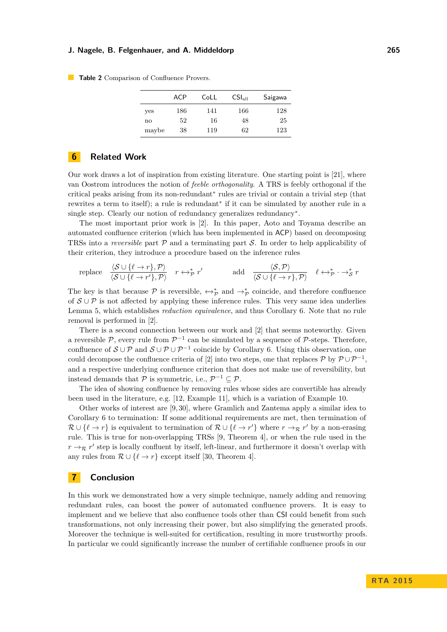<span id="page-8-2"></span>**Table 2** Comparison of Confluence Provers.

|       | ACP | CoLL | CSI <sub>all</sub> | Saigawa |
|-------|-----|------|--------------------|---------|
| yes   | 186 | 141  | 166                | 128     |
| no    | 52  | 16   | 48                 | 25      |
| maybe | 38  | 119  | 62                 | 123     |

# <span id="page-8-0"></span>**6 Related Work**

Our work draws a lot of inspiration from existing literature. One starting point is [\[21\]](#page-10-8), where van Oostrom introduces the notion of *feeble orthogonality*. A TRS is feebly orthogonal if the critical peaks arising from its non-redundant<sup>∗</sup> rules are trivial or contain a trivial step (that rewrites a term to itself); a rule is redundant<sup>∗</sup> if it can be simulated by another rule in a single step. Clearly our notion of redundancy generalizes redundancy<sup>∗</sup>.

The most important prior work is [\[2\]](#page-9-8). In this paper, Aoto and Toyama describe an automated confluence criterion (which has been implemented in ACP) based on decomposing TRSs into a *reversible* part  $P$  and a terminating part  $S$ . In order to help applicability of their criterion, they introduce a procedure based on the inference rules

replace 
$$
\frac{\langle \mathcal{S} \cup \{\ell \to r\}, \mathcal{P} \rangle}{\langle \mathcal{S} \cup \{\ell \to r'\}, \mathcal{P} \rangle}
$$
  $r \leftrightarrow^*_{\mathcal{P}} r'$  add  $\frac{\langle \mathcal{S}, \mathcal{P} \rangle}{\langle \mathcal{S} \cup \{\ell \to r\}, \mathcal{P} \rangle}$   $\ell \leftrightarrow^*_{\mathcal{P}} \rightarrow^*_{\mathcal{S}} r$ 

The key is that because  $\mathcal P$  is reversible,  $\leftrightarrow_{\mathcal P}^*$  and  $\rightarrow_{\mathcal P}^*$  coincide, and therefore confluence of  $S \cup P$  is not affected by applying these inference rules. This very same idea underlies Lemma [5,](#page-2-5) which establishes *reduction equivalence*, and thus Corollary [6.](#page-2-4) Note that no rule removal is performed in [\[2\]](#page-9-8).

There is a second connection between our work and [\[2\]](#page-9-8) that seems noteworthy. Given a reversible  $P$ , every rule from  $P^{-1}$  can be simulated by a sequence of P-steps. Therefore, confluence of  $S \cup P$  and  $S \cup P \cup P^{-1}$  coincide by Corollary [6.](#page-2-4) Using this observation, one could decompose the confluence criteria of [\[2\]](#page-9-8) into two steps, one that replaces  $P$  by  $P \cup P^{-1}$ , and a respective underlying confluence criterion that does not make use of reversibility, but instead demands that  $P$  is symmetric, i.e.,  $P^{-1} \subseteq P$ .

The idea of showing confluence by removing rules whose sides are convertible has already been used in the literature, e.g. [\[12,](#page-10-16) Example 11], which is a variation of Example [10.](#page-3-2)

Other works of interest are [\[9,](#page-9-9) [30\]](#page-11-3), where Gramlich and Zantema apply a similar idea to Corollary [6](#page-2-4) to termination: If some additional requirements are met, then termination of  $\mathcal{R} \cup \{\ell \to r\}$  is equivalent to termination of  $\mathcal{R} \cup \{\ell \to r'\}$  where  $r \to_{\mathcal{R}} r'$  by a non-erasing rule. This is true for non-overlapping TRSs [\[9,](#page-9-9) Theorem 4], or when the rule used in the  $r \rightarrow_{\mathcal{R}} r'$  step is locally confluent by itself, left-linear, and furthermore it doesn't overlap with any rules from  $\mathcal{R} \cup \{l \to r\}$  except itself [\[30,](#page-11-3) Theorem 4].

## <span id="page-8-1"></span>**7 Conclusion**

In this work we demonstrated how a very simple technique, namely adding and removing redundant rules, can boost the power of automated confluence provers. It is easy to implement and we believe that also confluence tools other than CSI could benefit from such transformations, not only increasing their power, but also simplifying the generated proofs. Moreover the technique is well-suited for certification, resulting in more trustworthy proofs. In particular we could significantly increase the number of certifiable confluence proofs in our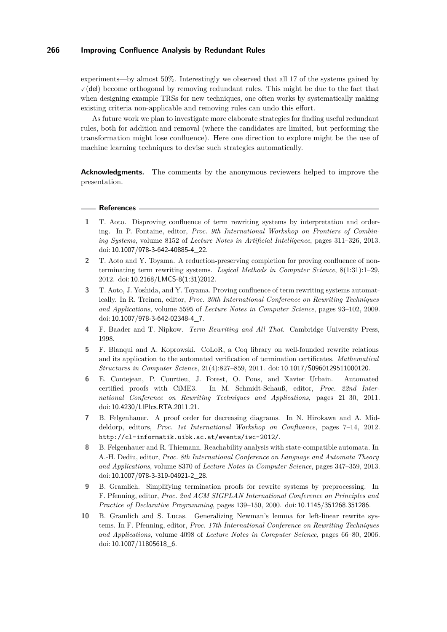experiments—by almost 50%. Interestingly we observed that all 17 of the systems gained by  $\checkmark$  (del) become orthogonal by removing redundant rules. This might be due to the fact that when designing example TRSs for new techniques, one often works by systematically making existing criteria non-applicable and removing rules can undo this effort.

As future work we plan to investigate more elaborate strategies for finding useful redundant rules, both for addition and removal (where the candidates are limited, but performing the transformation might lose confluence). Here one direction to explore might be the use of machine learning techniques to devise such strategies automatically.

**Acknowledgments.** The comments by the anonymous reviewers helped to improve the presentation.

#### **References**

- <span id="page-9-6"></span>**1** T. Aoto. Disproving confluence of term rewriting systems by interpretation and ordering. In P. Fontaine, editor, *Proc. 9th International Workshop on Frontiers of Combining Systems*, volume 8152 of *Lecture Notes in Artificial Intelligence*, pages 311–326, 2013. doi: [10.1007/978-3-642-40885-4\\_22](http://dx.doi.org/10.1007/978-3-642-40885-4_22).
- <span id="page-9-8"></span>**2** T. Aoto and Y. Toyama. A reduction-preserving completion for proving confluence of nonterminating term rewriting systems. *Logical Methods in Computer Science*, 8(1:31):1–29, 2012. doi: [10.2168/LMCS-8\(1:31\)2012](http://dx.doi.org/10.2168/LMCS-8(1:31)2012).
- <span id="page-9-0"></span>**3** T. Aoto, J. Yoshida, and Y. Toyama. Proving confluence of term rewriting systems automatically. In R. Treinen, editor, *Proc. 20th International Conference on Rewriting Techniques and Applications*, volume 5595 of *Lecture Notes in Computer Science*, pages 93–102, 2009. doi: [10.1007/978-3-642-02348-4\\_7](http://dx.doi.org/10.1007/978-3-642-02348-4_7).
- <span id="page-9-4"></span>**4** F. Baader and T. Nipkow. *Term Rewriting and All That*. Cambridge University Press, 1998.
- <span id="page-9-1"></span>**5** F. Blanqui and A. Koprowski. CoLoR, a Coq library on well-founded rewrite relations and its application to the automated verification of termination certificates. *Mathematical Structures in Computer Science*, 21(4):827–859, 2011. doi: [10.1017/S0960129511000120](http://dx.doi.org/10.1017/S0960129511000120).
- <span id="page-9-2"></span>**6** E. Contejean, P. Courtieu, J. Forest, O. Pons, and Xavier Urbain. Automated certified proofs with CiME3. In M. Schmidt-Schauß, editor, *Proc. 22nd International Conference on Rewriting Techniques and Applications*, pages 21–30, 2011. doi: [10.4230/LIPIcs.RTA.2011.21](http://dx.doi.org/10.4230/LIPIcs.RTA.2011.21).
- <span id="page-9-3"></span>**7** B. Felgenhauer. A proof order for decreasing diagrams. In N. Hirokawa and A. Middeldorp, editors, *Proc. 1st International Workshop on Confluence*, pages 7–14, 2012. <http://cl-informatik.uibk.ac.at/events/iwc-2012/>.
- <span id="page-9-7"></span>**8** B. Felgenhauer and R. Thiemann. Reachability analysis with state-compatible automata. In A.-H. Dediu, editor, *Proc. 8th International Conference on Language and Automata Theory and Applications*, volume 8370 of *Lecture Notes in Computer Science*, pages 347–359, 2013. doi: [10.1007/978-3-319-04921-2\\_28](http://dx.doi.org/10.1007/978-3-319-04921-2_28).
- <span id="page-9-9"></span>**9** B. Gramlich. Simplifying termination proofs for rewrite systems by preprocessing. In F. Pfenning, editor, *Proc. 2nd ACM SIGPLAN International Conference on Principles and Practice of Declarative Programming*, pages 139–150, 2000. doi: [10.1145/351268.351286](http://dx.doi.org/10.1145/351268.351286).
- <span id="page-9-5"></span>**10** B. Gramlich and S. Lucas. Generalizing Newman's lemma for left-linear rewrite systems. In F. Pfenning, editor, *Proc. 17th International Conference on Rewriting Techniques and Applications*, volume 4098 of *Lecture Notes in Computer Science*, pages 66–80, 2006. doi: [10.1007/11805618\\_6](http://dx.doi.org/10.1007/11805618_6).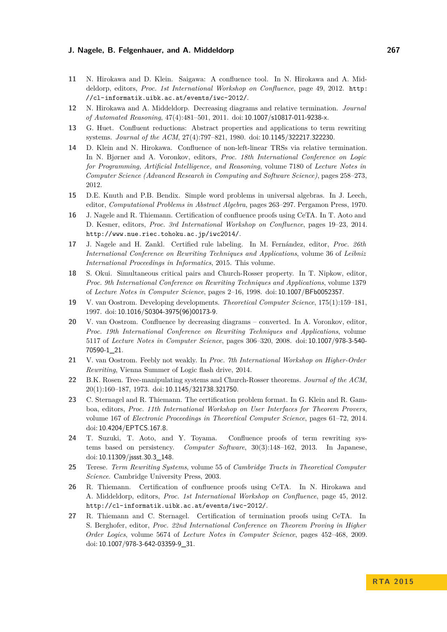- <span id="page-10-0"></span>**11** N. Hirokawa and D. Klein. Saigawa: A confluence tool. In N. Hirokawa and A. Middeldorp, editors, *Proc. 1st International Workshop on Confluence*, page 49, 2012. [http:](http://cl-informatik.uibk.ac.at/events/iwc-2012/) [//cl-informatik.uibk.ac.at/events/iwc-2012/](http://cl-informatik.uibk.ac.at/events/iwc-2012/).
- <span id="page-10-16"></span>**12** N. Hirokawa and A. Middeldorp. Decreasing diagrams and relative termination. *Journal of Automated Reasoning*, 47(4):481–501, 2011. doi: [10.1007/s10817-011-9238-x](http://dx.doi.org/10.1007/s10817-011-9238-x).
- <span id="page-10-5"></span>**13** G. Huet. Confluent reductions: Abstract properties and applications to term rewriting systems. *Journal of the ACM*, 27(4):797–821, 1980. doi: [10.1145/322217.322230](http://dx.doi.org/10.1145/322217.322230).
- <span id="page-10-1"></span>**14** D. Klein and N. Hirokawa. Confluence of non-left-linear TRSs via relative termination. In N. Bjørner and A. Voronkov, editors, *Proc. 18th International Conference on Logic for Programming, Artificial Intelligence, and Reasoning*, volume 7180 of *Lecture Notes in Computer Science (Advanced Research in Computing and Software Science)*, pages 258–273, 2012.
- <span id="page-10-12"></span>**15** D.E. Knuth and P.B. Bendix. Simple word problems in universal algebras. In J. Leech, editor, *Computational Problems in Abstract Algebra*, pages 263–297. Pergamon Press, 1970.
- <span id="page-10-10"></span>**16** J. Nagele and R. Thiemann. Certification of confluence proofs using CeTA. In T. Aoto and D. Kesner, editors, *Proc. 3rd International Workshop on Confluence*, pages 19–23, 2014. <http://www.nue.riec.tohoku.ac.jp/iwc2014/>.
- <span id="page-10-14"></span>**17** J. Nagele and H. Zankl. Certified rule labeling. In M. Fernández, editor, *Proc. 26th International Conference on Rewriting Techniques and Applications*, volume 36 of *Leibniz International Proceedings in Informatics*, 2015. This volume.
- <span id="page-10-7"></span>**18** S. Okui. Simultaneous critical pairs and Church-Rosser property. In T. Nipkow, editor, *Proc. 9th International Conference on Rewriting Techniques and Applications*, volume 1379 of *Lecture Notes in Computer Science*, pages 2–16, 1998. doi: [10.1007/BFb0052357](http://dx.doi.org/10.1007/BFb0052357).
- <span id="page-10-3"></span>**19** V. van Oostrom. Developing developments. *Theoretical Computer Science*, 175(1):159–181, 1997. doi: [10.1016/S0304-3975\(96\)00173-9](http://dx.doi.org/10.1016/S0304-3975(96)00173-9).
- <span id="page-10-15"></span>**20** V. van Oostrom. Confluence by decreasing diagrams – converted. In A. Voronkov, editor, *Proc. 19th International Conference on Rewriting Techniques and Applications*, volume 5117 of *Lecture Notes in Computer Science*, pages 306–320, 2008. doi: [10.1007/978-3-540-](http://dx.doi.org/10.1007/978-3-540-70590-1_21) [70590-1\\_21](http://dx.doi.org/10.1007/978-3-540-70590-1_21).
- <span id="page-10-8"></span>**21** V. van Oostrom. Feebly not weakly. In *Proc. 7th International Workshop on Higher-Order Rewriting*, Vienna Summer of Logic flash drive, 2014.
- <span id="page-10-13"></span>**22** B.K. Rosen. Tree-manipulating systems and Church-Rosser theorems. *Journal of the ACM*, 20(1):160–187, 1973. doi: [10.1145/321738.321750](http://dx.doi.org/10.1145/321738.321750).
- <span id="page-10-9"></span>**23** C. Sternagel and R. Thiemann. The certification problem format. In G. Klein and R. Gamboa, editors, *Proc. 11th International Workshop on User Interfaces for Theorem Provers*, volume 167 of *Electronic Proceedings in Theoretical Computer Science*, pages 61–72, 2014. doi: [10.4204/EPTCS.167.8](http://dx.doi.org/10.4204/EPTCS.167.8).
- <span id="page-10-6"></span>**24** T. Suzuki, T. Aoto, and Y. Toyama. Confluence proofs of term rewriting systems based on persistency. *Computer Software*, 30(3):148–162, 2013. In Japanese, doi: [10.11309/jssst.30.3\\_148](http://dx.doi.org/10.11309/jssst.30.3_148).
- <span id="page-10-4"></span>**25** Terese. *Term Rewriting Systems*, volume 55 of *Cambridge Tracts in Theoretical Computer Science*. Cambridge University Press, 2003.
- <span id="page-10-11"></span>**26** R. Thiemann. Certification of confluence proofs using CeTA. In N. Hirokawa and A. Middeldorp, editors, *Proc. 1st International Workshop on Confluence*, page 45, 2012. <http://cl-informatik.uibk.ac.at/events/iwc-2012/>.
- <span id="page-10-2"></span>**27** R. Thiemann and C. Sternagel. Certification of termination proofs using CeTA. In S. Berghofer, editor, *Proc. 22nd International Conference on Theorem Proving in Higher Order Logics*, volume 5674 of *Lecture Notes in Computer Science*, pages 452–468, 2009. doi: [10.1007/978-3-642-03359-9\\_31](http://dx.doi.org/10.1007/978-3-642-03359-9_31).